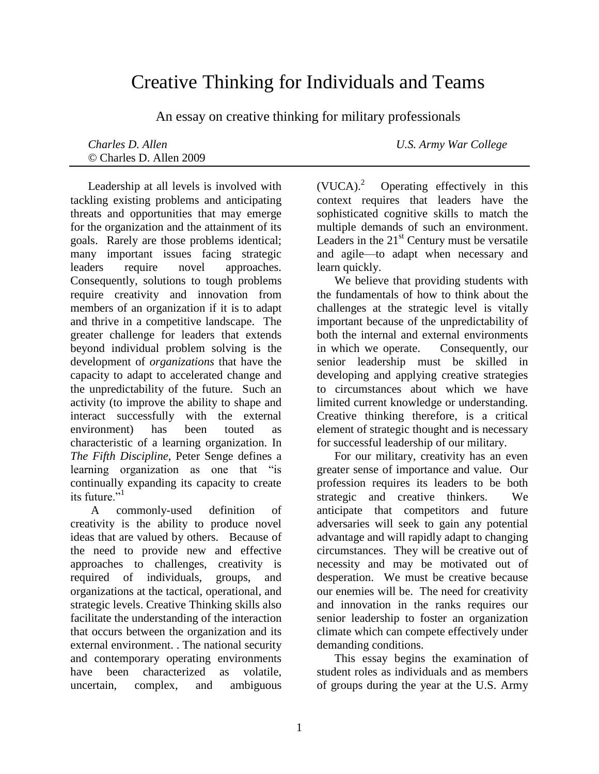# Creative Thinking for Individuals and Teams

An essay on creative thinking for military professionals

© Charles D. Allen 2009

*Charles D. Allen U.S. Army War College*

Leadership at all levels is involved with tackling existing problems and anticipating threats and opportunities that may emerge for the organization and the attainment of its goals. Rarely are those problems identical; many important issues facing strategic leaders require novel approaches. Consequently, solutions to tough problems require creativity and innovation from members of an organization if it is to adapt and thrive in a competitive landscape. The greater challenge for leaders that extends beyond individual problem solving is the development of *organizations* that have the capacity to adapt to accelerated change and the unpredictability of the future. Such an activity (to improve the ability to shape and interact successfully with the external environment) has been touted as characteristic of a learning organization. In *The Fifth Discipline*, Peter Senge defines a learning organization as one that "is continually expanding its capacity to create its future. $1$ <sup>1</sup>

A commonly-used definition of creativity is the ability to produce novel ideas that are valued by others. Because of the need to provide new and effective approaches to challenges, creativity is required of individuals, groups, and organizations at the tactical, operational, and strategic levels. Creative Thinking skills also facilitate the understanding of the interaction that occurs between the organization and its external environment. . The national security and contemporary operating environments have been characterized as volatile, uncertain, complex, and ambiguous

 $(VUCA)<sup>2</sup>$  Operating effectively in this context requires that leaders have the sophisticated cognitive skills to match the multiple demands of such an environment. Leaders in the  $21<sup>st</sup>$  Century must be versatile and agile—to adapt when necessary and learn quickly.

We believe that providing students with the fundamentals of how to think about the challenges at the strategic level is vitally important because of the unpredictability of both the internal and external environments in which we operate. Consequently, our senior leadership must be skilled in developing and applying creative strategies to circumstances about which we have limited current knowledge or understanding. Creative thinking therefore, is a critical element of strategic thought and is necessary for successful leadership of our military.

For our military, creativity has an even greater sense of importance and value. Our profession requires its leaders to be both strategic and creative thinkers. We anticipate that competitors and future adversaries will seek to gain any potential advantage and will rapidly adapt to changing circumstances. They will be creative out of necessity and may be motivated out of desperation. We must be creative because our enemies will be. The need for creativity and innovation in the ranks requires our senior leadership to foster an organization climate which can compete effectively under demanding conditions.

This essay begins the examination of student roles as individuals and as members of groups during the year at the U.S. Army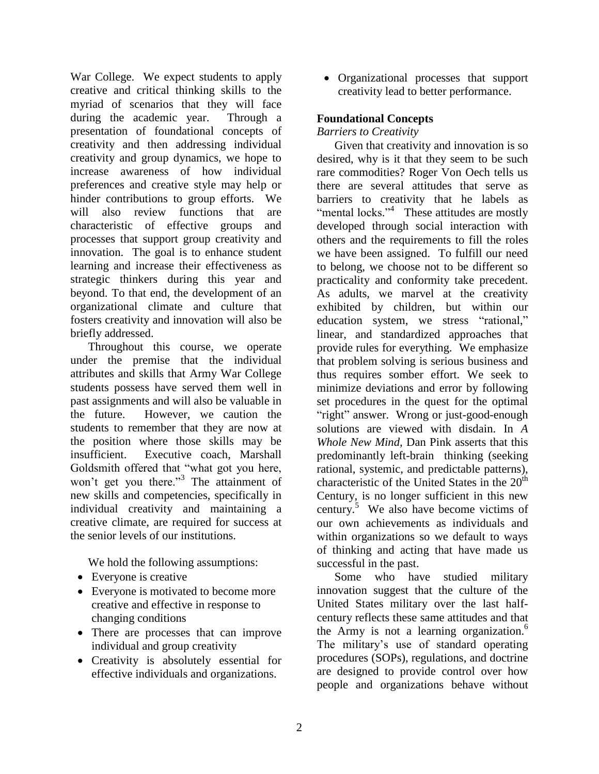War College. We expect students to apply creative and critical thinking skills to the myriad of scenarios that they will face during the academic year. Through a presentation of foundational concepts of creativity and then addressing individual creativity and group dynamics, we hope to increase awareness of how individual preferences and creative style may help or hinder contributions to group efforts. We will also review functions that are characteristic of effective groups and processes that support group creativity and innovation. The goal is to enhance student learning and increase their effectiveness as strategic thinkers during this year and beyond. To that end, the development of an organizational climate and culture that fosters creativity and innovation will also be briefly addressed.

Throughout this course, we operate under the premise that the individual attributes and skills that Army War College students possess have served them well in past assignments and will also be valuable in the future. However, we caution the students to remember that they are now at the position where those skills may be insufficient. Executive coach, Marshall Goldsmith offered that "what got you here, won't get you there."<sup>3</sup> The attainment of new skills and competencies, specifically in individual creativity and maintaining a creative climate, are required for success at the senior levels of our institutions.

We hold the following assumptions:

- Everyone is creative
- Everyone is motivated to become more creative and effective in response to changing conditions
- There are processes that can improve individual and group creativity
- Creativity is absolutely essential for effective individuals and organizations.

 Organizational processes that support creativity lead to better performance.

## **Foundational Concepts**

*Barriers to Creativity*

Given that creativity and innovation is so desired, why is it that they seem to be such rare commodities? Roger Von Oech tells us there are several attitudes that serve as barriers to creativity that he labels as "mental locks." $4$  These attitudes are mostly developed through social interaction with others and the requirements to fill the roles we have been assigned. To fulfill our need to belong, we choose not to be different so practicality and conformity take precedent. As adults, we marvel at the creativity exhibited by children, but within our education system, we stress "rational," linear, and standardized approaches that provide rules for everything. We emphasize that problem solving is serious business and thus requires somber effort. We seek to minimize deviations and error by following set procedures in the quest for the optimal "right" answer. Wrong or just-good-enough solutions are viewed with disdain. In *A Whole New Mind,* Dan Pink asserts that this predominantly left-brain thinking (seeking rational, systemic, and predictable patterns), characteristic of the United States in the  $20<sup>th</sup>$ Century, is no longer sufficient in this new century.<sup>5</sup> We also have become victims of our own achievements as individuals and within organizations so we default to ways of thinking and acting that have made us successful in the past.

Some who have studied military innovation suggest that the culture of the United States military over the last halfcentury reflects these same attitudes and that the Army is not a learning organization.<sup>6</sup> The military's use of standard operating procedures (SOPs), regulations, and doctrine are designed to provide control over how people and organizations behave without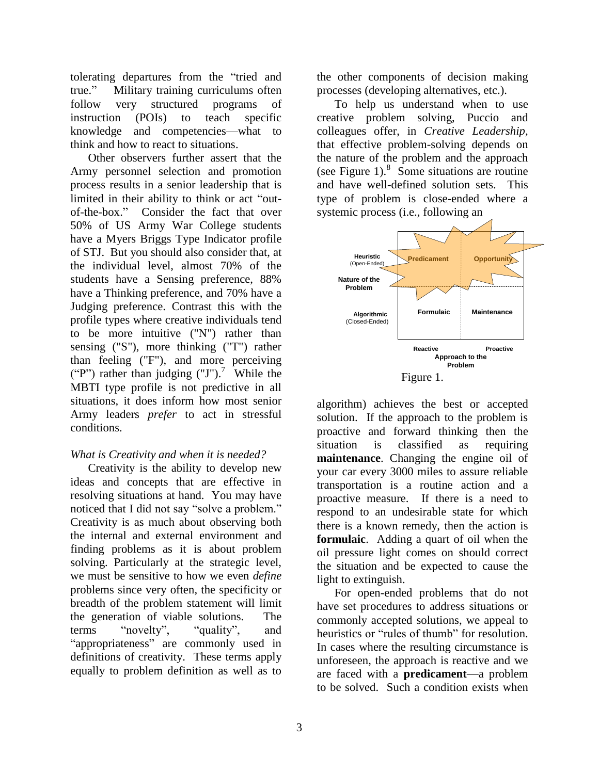tolerating departures from the "tried and true.‖ Military training curriculums often follow very structured programs of instruction (POIs) to teach specific knowledge and competencies—what to think and how to react to situations.

Other observers further assert that the Army personnel selection and promotion process results in a senior leadership that is limited in their ability to think or act "outof-the-box." Consider the fact that over 50% of US Army War College students have a Myers Briggs Type Indicator profile of STJ. But you should also consider that, at the individual level, almost 70% of the students have a Sensing preference, 88% have a Thinking preference, and 70% have a Judging preference. Contrast this with the profile types where creative individuals tend to be more intuitive ("N") rather than sensing ("S"), more thinking ("T") rather than feeling ("F"), and more perceiving ("P") rather than judging  $(TJ')$ .<sup>7</sup> While the MBTI type profile is not predictive in all situations, it does inform how most senior Army leaders *prefer* to act in stressful conditions.

# *What is Creativity and when it is needed?*

Creativity is the ability to develop new ideas and concepts that are effective in resolving situations at hand. You may have noticed that I did not say "solve a problem." Creativity is as much about observing both the internal and external environment and finding problems as it is about problem solving. Particularly at the strategic level, we must be sensitive to how we even *define* problems since very often, the specificity or breadth of the problem statement will limit the generation of viable solutions. The terms "novelty", "quality", and "appropriateness" are commonly used in definitions of creativity. These terms apply equally to problem definition as well as to

the other components of decision making processes (developing alternatives, etc.).

To help us understand when to use creative problem solving, Puccio and colleagues offer, in *Creative Leadership,* that effective problem-solving depends on the nature of the problem and the approach (see Figure 1). $8$  Some situations are routine and have well-defined solution sets. This type of problem is close-ended where a systemic process (i.e., following an



algorithm) achieves the best or accepted solution. If the approach to the problem is proactive and forward thinking then the situation is classified as requiring **maintenance**. Changing the engine oil of your car every 3000 miles to assure reliable transportation is a routine action and a proactive measure. If there is a need to respond to an undesirable state for which there is a known remedy, then the action is **formulaic**. Adding a quart of oil when the oil pressure light comes on should correct the situation and be expected to cause the light to extinguish.

For open-ended problems that do not have set procedures to address situations or commonly accepted solutions, we appeal to heuristics or "rules of thumb" for resolution. In cases where the resulting circumstance is unforeseen, the approach is reactive and we are faced with a **predicament**—a problem to be solved. Such a condition exists when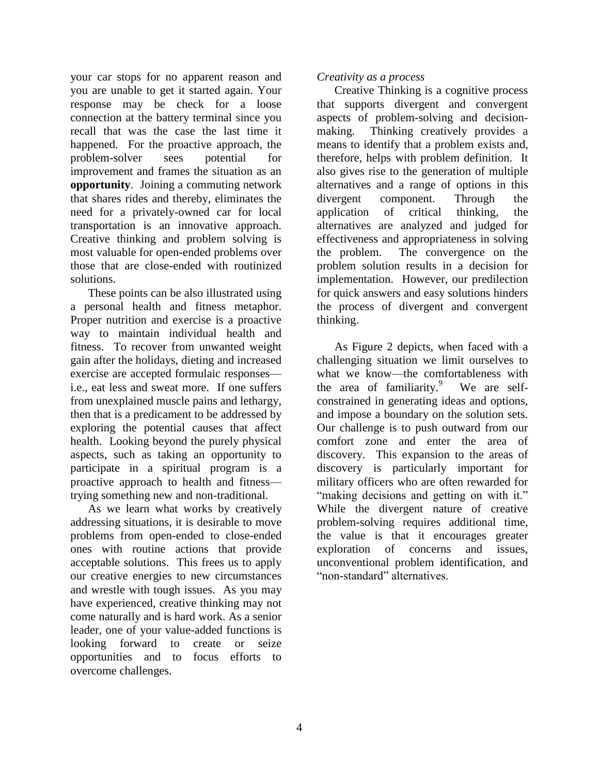your car stops for no apparent reason and you are unable to get it started again. Your response may be check for a loose connection at the battery terminal since you recall that was the case the last time it happened. For the proactive approach, the problem-solver sees potential for improvement and frames the situation as an **opportunity**. Joining a commuting network that shares rides and thereby, eliminates the need for a privately-owned car for local transportation is an innovative approach. Creative thinking and problem solving is most valuable for open-ended problems over those that are close-ended with routinized solutions.

These points can be also illustrated using a personal health and fitness metaphor. Proper nutrition and exercise is a proactive way to maintain individual health and fitness. To recover from unwanted weight gain after the holidays, dieting and increased exercise are accepted formulaic responses i.e., eat less and sweat more. If one suffers from unexplained muscle pains and lethargy, then that is a predicament to be addressed by exploring the potential causes that affect health. Looking beyond the purely physical aspects, such as taking an opportunity to participate in a spiritual program is a proactive approach to health and fitness trying something new and non-traditional.

As we learn what works by creatively addressing situations, it is desirable to move problems from open-ended to close-ended ones with routine actions that provide acceptable solutions. This frees us to apply our creative energies to new circumstances and wrestle with tough issues. As you may have experienced, creative thinking may not come naturally and is hard work. As a senior leader, one of your value-added functions is looking forward to create or seize opportunities and to focus efforts to overcome challenges.

## *Creativity as a process*

Creative Thinking is a cognitive process that supports divergent and convergent aspects of problem-solving and decisionmaking. Thinking creatively provides a means to identify that a problem exists and, therefore, helps with problem definition. It also gives rise to the generation of multiple alternatives and a range of options in this divergent component. Through the application of critical thinking, the alternatives are analyzed and judged for effectiveness and appropriateness in solving the problem. The convergence on the problem solution results in a decision for implementation. However, our predilection for quick answers and easy solutions hinders the process of divergent and convergent thinking.

As Figure 2 depicts, when faced with a challenging situation we limit ourselves to what we know—the comfortableness with the area of familiarity.<sup>9</sup> We are selfconstrained in generating ideas and options, and impose a boundary on the solution sets. Our challenge is to push outward from our comfort zone and enter the area of discovery. This expansion to the areas of discovery is particularly important for military officers who are often rewarded for "making decisions and getting on with it." While the divergent nature of creative problem-solving requires additional time, the value is that it encourages greater exploration of concerns and issues, unconventional problem identification, and ―non-standard‖ alternatives.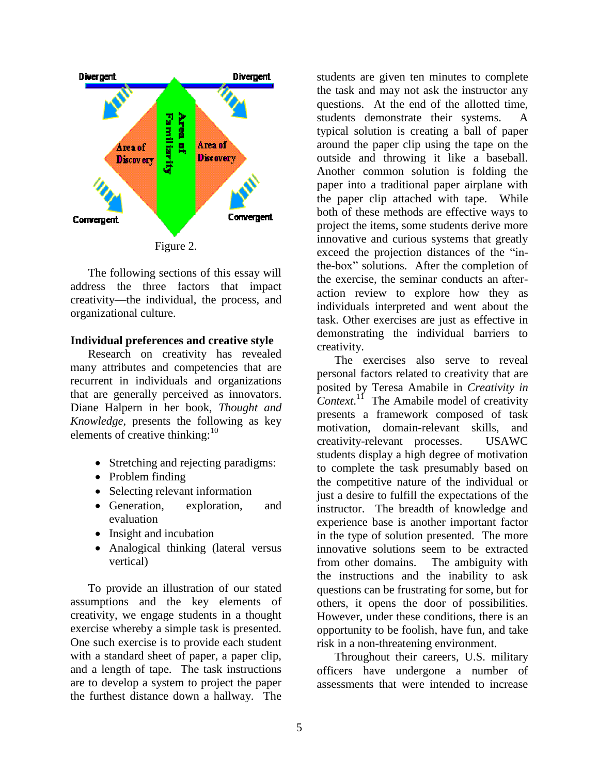

The following sections of this essay will address the three factors that impact creativity—the individual, the process, and organizational culture.

#### **Individual preferences and creative style**

Research on creativity has revealed many attributes and competencies that are recurrent in individuals and organizations that are generally perceived as innovators. Diane Halpern in her book, *Thought and Knowledge*, presents the following as key elements of creative thinking:<sup>10</sup>

- Stretching and rejecting paradigms:
- Problem finding
- Selecting relevant information
- Generation, exploration, and evaluation
- Insight and incubation
- Analogical thinking (lateral versus vertical)

To provide an illustration of our stated assumptions and the key elements of creativity, we engage students in a thought exercise whereby a simple task is presented. One such exercise is to provide each student with a standard sheet of paper, a paper clip, and a length of tape. The task instructions are to develop a system to project the paper the furthest distance down a hallway. The

students are given ten minutes to complete the task and may not ask the instructor any questions. At the end of the allotted time, students demonstrate their systems. A typical solution is creating a ball of paper around the paper clip using the tape on the outside and throwing it like a baseball. Another common solution is folding the paper into a traditional paper airplane with the paper clip attached with tape. While both of these methods are effective ways to project the items, some students derive more innovative and curious systems that greatly exceed the projection distances of the "inthe-box" solutions. After the completion of the exercise, the seminar conducts an afteraction review to explore how they as individuals interpreted and went about the task. Other exercises are just as effective in demonstrating the individual barriers to creativity.

The exercises also serve to reveal personal factors related to creativity that are posited by Teresa Amabile in *Creativity in Context*. 11 The Amabile model of creativity presents a framework composed of task motivation, domain-relevant skills, and creativity-relevant processes. USAWC students display a high degree of motivation to complete the task presumably based on the competitive nature of the individual or just a desire to fulfill the expectations of the instructor. The breadth of knowledge and experience base is another important factor in the type of solution presented. The more innovative solutions seem to be extracted from other domains. The ambiguity with the instructions and the inability to ask questions can be frustrating for some, but for others, it opens the door of possibilities. However, under these conditions, there is an opportunity to be foolish, have fun, and take risk in a non-threatening environment.

Throughout their careers, U.S. military officers have undergone a number of assessments that were intended to increase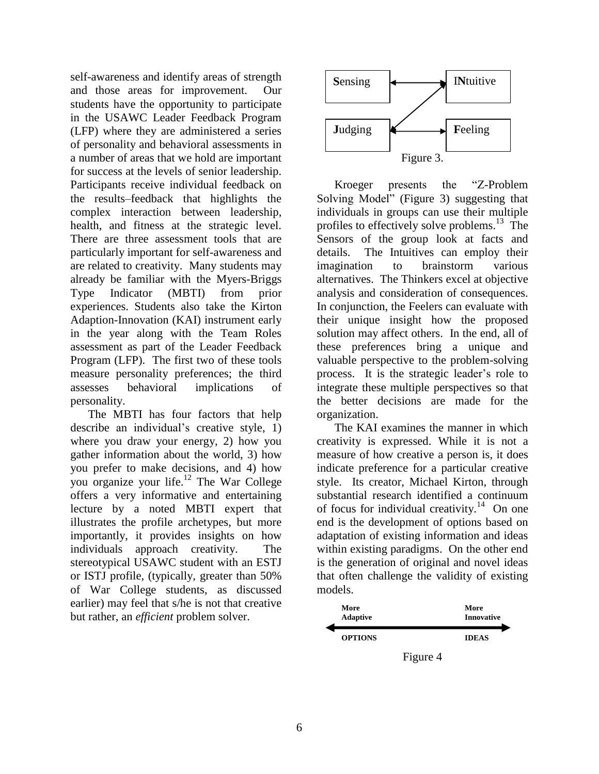self-awareness and identify areas of strength and those areas for improvement. Our students have the opportunity to participate in the USAWC Leader Feedback Program (LFP) where they are administered a series of personality and behavioral assessments in a number of areas that we hold are important for success at the levels of senior leadership. Participants receive individual feedback on the results–feedback that highlights the complex interaction between leadership, health, and fitness at the strategic level. There are three assessment tools that are particularly important for self-awareness and are related to creativity. Many students may already be familiar with the Myers-Briggs Type Indicator (MBTI) from prior experiences. Students also take the Kirton Adaption-Innovation (KAI) instrument early in the year along with the Team Roles assessment as part of the Leader Feedback Program (LFP). The first two of these tools measure personality preferences; the third assesses behavioral implications of personality.

The MBTI has four factors that help describe an individual's creative style, 1) where you draw your energy, 2) how you gather information about the world, 3) how you prefer to make decisions, and 4) how you organize your life. <sup>12</sup> The War College offers a very informative and entertaining lecture by a noted MBTI expert that illustrates the profile archetypes, but more importantly, it provides insights on how individuals approach creativity. The stereotypical USAWC student with an ESTJ or ISTJ profile, (typically, greater than 50% of War College students, as discussed earlier) may feel that s/he is not that creative but rather, an *efficient* problem solver.



Kroeger presents the "Z-Problem" Solving Model" (Figure 3) suggesting that individuals in groups can use their multiple profiles to effectively solve problems.<sup>13</sup> The Sensors of the group look at facts and details. The Intuitives can employ their imagination to brainstorm various alternatives. The Thinkers excel at objective analysis and consideration of consequences. In conjunction, the Feelers can evaluate with their unique insight how the proposed solution may affect others. In the end, all of these preferences bring a unique and valuable perspective to the problem-solving process. It is the strategic leader's role to integrate these multiple perspectives so that the better decisions are made for the organization.

The KAI examines the manner in which creativity is expressed. While it is not a measure of how creative a person is, it does indicate preference for a particular creative style. Its creator, Michael Kirton, through substantial research identified a continuum of focus for individual creativity. $14$  On one end is the development of options based on adaptation of existing information and ideas within existing paradigms. On the other end is the generation of original and novel ideas that often challenge the validity of existing models.

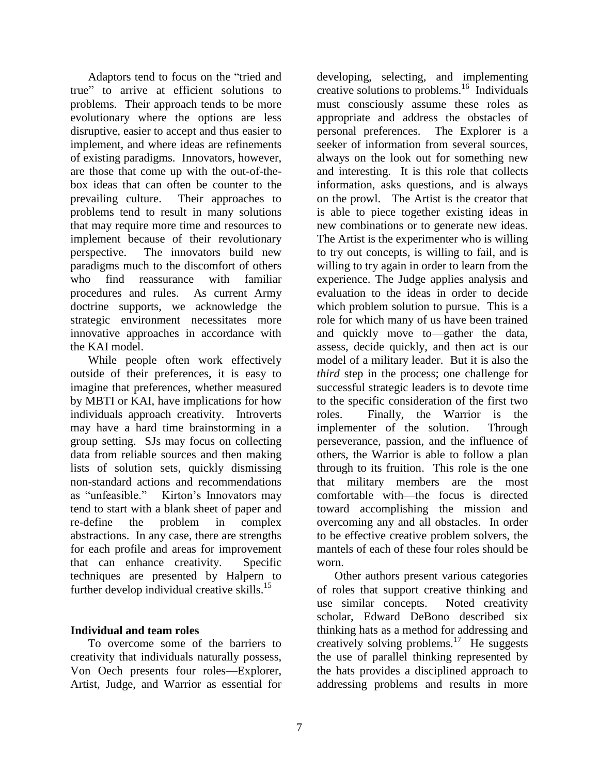Adaptors tend to focus on the "tried and true‖ to arrive at efficient solutions to problems. Their approach tends to be more evolutionary where the options are less disruptive, easier to accept and thus easier to implement, and where ideas are refinements of existing paradigms. Innovators, however, are those that come up with the out-of-thebox ideas that can often be counter to the prevailing culture. Their approaches to problems tend to result in many solutions that may require more time and resources to implement because of their revolutionary perspective. The innovators build new paradigms much to the discomfort of others who find reassurance with familiar procedures and rules. As current Army doctrine supports, we acknowledge the strategic environment necessitates more innovative approaches in accordance with the KAI model.

While people often work effectively outside of their preferences, it is easy to imagine that preferences, whether measured by MBTI or KAI, have implications for how individuals approach creativity. Introverts may have a hard time brainstorming in a group setting. SJs may focus on collecting data from reliable sources and then making lists of solution sets, quickly dismissing non-standard actions and recommendations as "unfeasible." Kirton's Innovators may tend to start with a blank sheet of paper and re-define the problem in complex abstractions. In any case, there are strengths for each profile and areas for improvement that can enhance creativity. Specific techniques are presented by Halpern to further develop individual creative skills. $15$ 

## **Individual and team roles**

To overcome some of the barriers to creativity that individuals naturally possess, Von Oech presents four roles—Explorer, Artist, Judge, and Warrior as essential for developing, selecting, and implementing creative solutions to problems.<sup>16</sup> Individuals must consciously assume these roles as appropriate and address the obstacles of personal preferences. The Explorer is a seeker of information from several sources, always on the look out for something new and interesting. It is this role that collects information, asks questions, and is always on the prowl. The Artist is the creator that is able to piece together existing ideas in new combinations or to generate new ideas. The Artist is the experimenter who is willing to try out concepts, is willing to fail, and is willing to try again in order to learn from the experience. The Judge applies analysis and evaluation to the ideas in order to decide which problem solution to pursue. This is a role for which many of us have been trained and quickly move to—gather the data, assess, decide quickly, and then act is our model of a military leader. But it is also the *third* step in the process; one challenge for successful strategic leaders is to devote time to the specific consideration of the first two roles. Finally, the Warrior is the implementer of the solution. Through perseverance, passion, and the influence of others, the Warrior is able to follow a plan through to its fruition. This role is the one that military members are the most comfortable with—the focus is directed toward accomplishing the mission and overcoming any and all obstacles. In order to be effective creative problem solvers, the mantels of each of these four roles should be worn.

Other authors present various categories of roles that support creative thinking and use similar concepts. Noted creativity scholar, Edward DeBono described six thinking hats as a method for addressing and creatively solving problems.<sup>17</sup> He suggests the use of parallel thinking represented by the hats provides a disciplined approach to addressing problems and results in more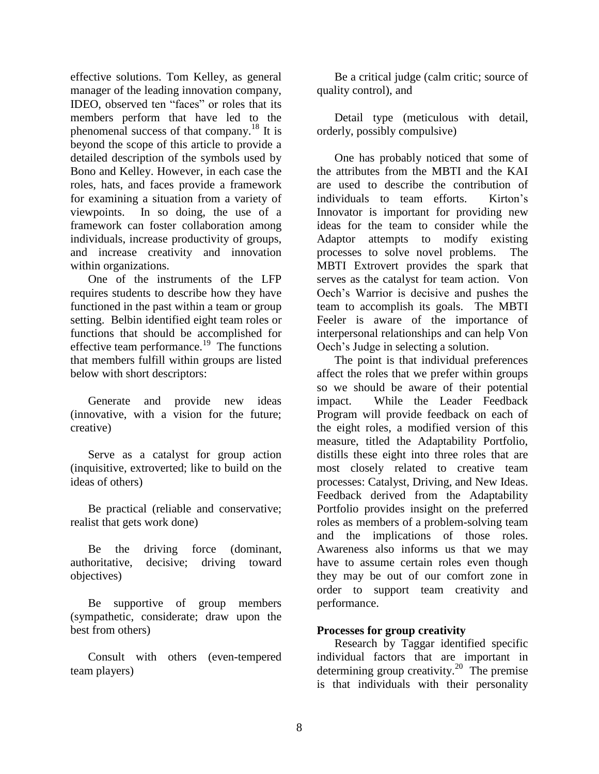effective solutions. Tom Kelley, as general manager of the leading innovation company, IDEO, observed ten "faces" or roles that its members perform that have led to the phenomenal success of that company.<sup>18</sup> It is beyond the scope of this article to provide a detailed description of the symbols used by Bono and Kelley. However, in each case the roles, hats, and faces provide a framework for examining a situation from a variety of viewpoints. In so doing, the use of a framework can foster collaboration among individuals, increase productivity of groups, and increase creativity and innovation within organizations.

One of the instruments of the LFP requires students to describe how they have functioned in the past within a team or group setting. Belbin identified eight team roles or functions that should be accomplished for effective team performance.<sup>19</sup> The functions that members fulfill within groups are listed below with short descriptors:

Generate and provide new ideas (innovative, with a vision for the future; creative)

Serve as a catalyst for group action (inquisitive, extroverted; like to build on the ideas of others)

Be practical (reliable and conservative; realist that gets work done)

Be the driving force (dominant, authoritative, decisive; driving toward objectives)

Be supportive of group members (sympathetic, considerate; draw upon the best from others)

Consult with others (even-tempered team players)

Be a critical judge (calm critic; source of quality control), and

Detail type (meticulous with detail, orderly, possibly compulsive)

One has probably noticed that some of the attributes from the MBTI and the KAI are used to describe the contribution of individuals to team efforts. Kirton's Innovator is important for providing new ideas for the team to consider while the Adaptor attempts to modify existing processes to solve novel problems. The MBTI Extrovert provides the spark that serves as the catalyst for team action. Von Oech's Warrior is decisive and pushes the team to accomplish its goals. The MBTI Feeler is aware of the importance of interpersonal relationships and can help Von Oech's Judge in selecting a solution.

The point is that individual preferences affect the roles that we prefer within groups so we should be aware of their potential impact. While the Leader Feedback Program will provide feedback on each of the eight roles, a modified version of this measure, titled the Adaptability Portfolio, distills these eight into three roles that are most closely related to creative team processes: Catalyst, Driving, and New Ideas. Feedback derived from the Adaptability Portfolio provides insight on the preferred roles as members of a problem-solving team and the implications of those roles. Awareness also informs us that we may have to assume certain roles even though they may be out of our comfort zone in order to support team creativity and performance.

## **Processes for group creativity**

Research by Taggar identified specific individual factors that are important in determining group creativity.<sup>20</sup> The premise is that individuals with their personality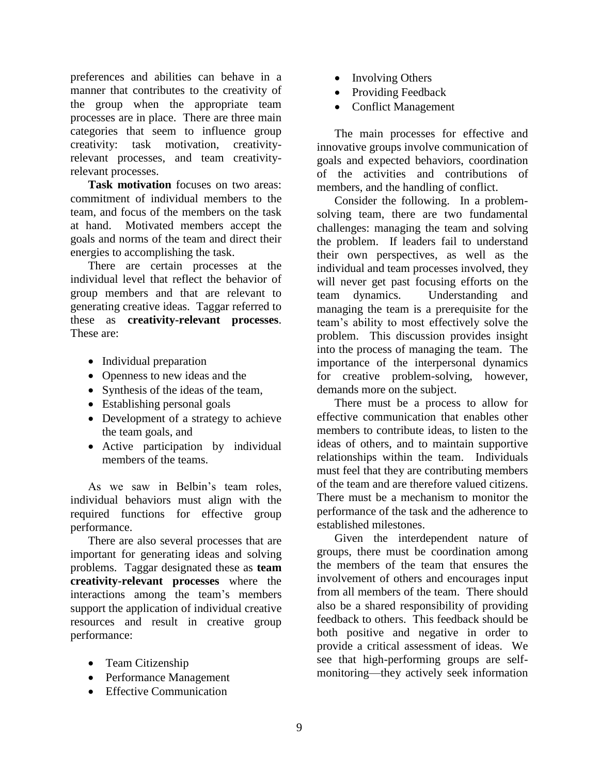preferences and abilities can behave in a manner that contributes to the creativity of the group when the appropriate team processes are in place. There are three main categories that seem to influence group creativity: task motivation, creativityrelevant processes, and team creativityrelevant processes.

**Task motivation** focuses on two areas: commitment of individual members to the team, and focus of the members on the task at hand. Motivated members accept the goals and norms of the team and direct their energies to accomplishing the task.

There are certain processes at the individual level that reflect the behavior of group members and that are relevant to generating creative ideas. Taggar referred to these as **creativity-relevant processes**. These are:

- Individual preparation
- Openness to new ideas and the
- Synthesis of the ideas of the team,
- Establishing personal goals
- Development of a strategy to achieve the team goals, and
- Active participation by individual members of the teams.

As we saw in Belbin's team roles, individual behaviors must align with the required functions for effective group performance.

There are also several processes that are important for generating ideas and solving problems. Taggar designated these as **team creativity-relevant processes** where the interactions among the team's members support the application of individual creative resources and result in creative group performance:

- Team Citizenship
- Performance Management
- Effective Communication
- Involving Others
- Providing Feedback
- Conflict Management

The main processes for effective and innovative groups involve communication of goals and expected behaviors, coordination of the activities and contributions of members, and the handling of conflict.

Consider the following. In a problemsolving team, there are two fundamental challenges: managing the team and solving the problem. If leaders fail to understand their own perspectives, as well as the individual and team processes involved, they will never get past focusing efforts on the team dynamics. Understanding and managing the team is a prerequisite for the team's ability to most effectively solve the problem. This discussion provides insight into the process of managing the team. The importance of the interpersonal dynamics for creative problem-solving, however, demands more on the subject.

There must be a process to allow for effective communication that enables other members to contribute ideas, to listen to the ideas of others, and to maintain supportive relationships within the team. Individuals must feel that they are contributing members of the team and are therefore valued citizens. There must be a mechanism to monitor the performance of the task and the adherence to established milestones.

Given the interdependent nature of groups, there must be coordination among the members of the team that ensures the involvement of others and encourages input from all members of the team. There should also be a shared responsibility of providing feedback to others. This feedback should be both positive and negative in order to provide a critical assessment of ideas. We see that high-performing groups are selfmonitoring—they actively seek information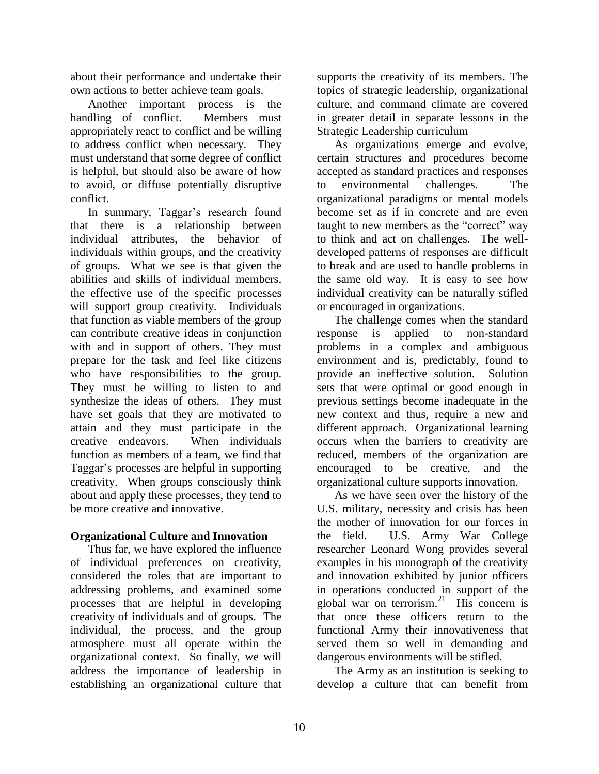about their performance and undertake their own actions to better achieve team goals.

Another important process is the handling of conflict. Members must appropriately react to conflict and be willing to address conflict when necessary. They must understand that some degree of conflict is helpful, but should also be aware of how to avoid, or diffuse potentially disruptive conflict.

In summary, Taggar's research found that there is a relationship between individual attributes, the behavior of individuals within groups, and the creativity of groups. What we see is that given the abilities and skills of individual members, the effective use of the specific processes will support group creativity. Individuals that function as viable members of the group can contribute creative ideas in conjunction with and in support of others. They must prepare for the task and feel like citizens who have responsibilities to the group. They must be willing to listen to and synthesize the ideas of others. They must have set goals that they are motivated to attain and they must participate in the creative endeavors. When individuals function as members of a team, we find that Taggar's processes are helpful in supporting creativity. When groups consciously think about and apply these processes, they tend to be more creative and innovative.

# **Organizational Culture and Innovation**

Thus far, we have explored the influence of individual preferences on creativity, considered the roles that are important to addressing problems, and examined some processes that are helpful in developing creativity of individuals and of groups. The individual, the process, and the group atmosphere must all operate within the organizational context. So finally, we will address the importance of leadership in establishing an organizational culture that supports the creativity of its members. The topics of strategic leadership, organizational culture, and command climate are covered in greater detail in separate lessons in the Strategic Leadership curriculum

As organizations emerge and evolve, certain structures and procedures become accepted as standard practices and responses to environmental challenges. The organizational paradigms or mental models become set as if in concrete and are even taught to new members as the "correct" way to think and act on challenges. The welldeveloped patterns of responses are difficult to break and are used to handle problems in the same old way. It is easy to see how individual creativity can be naturally stifled or encouraged in organizations.

The challenge comes when the standard response is applied to non-standard problems in a complex and ambiguous environment and is, predictably, found to provide an ineffective solution. Solution sets that were optimal or good enough in previous settings become inadequate in the new context and thus, require a new and different approach. Organizational learning occurs when the barriers to creativity are reduced, members of the organization are encouraged to be creative, and the organizational culture supports innovation.

As we have seen over the history of the U.S. military, necessity and crisis has been the mother of innovation for our forces in the field. U.S. Army War College researcher Leonard Wong provides several examples in his monograph of the creativity and innovation exhibited by junior officers in operations conducted in support of the global war on terrorism. $21$  His concern is that once these officers return to the functional Army their innovativeness that served them so well in demanding and dangerous environments will be stifled.

The Army as an institution is seeking to develop a culture that can benefit from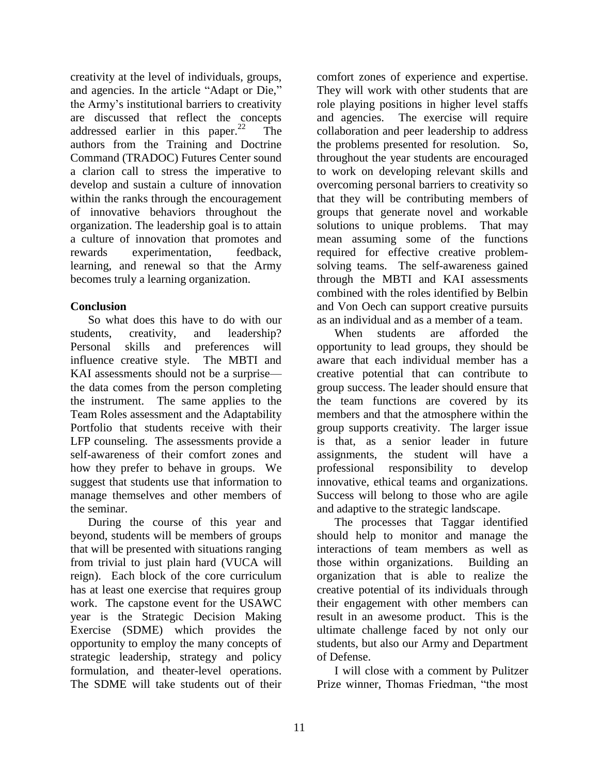creativity at the level of individuals, groups, and agencies. In the article "Adapt or Die," the Army's institutional barriers to creativity are discussed that reflect the concepts addressed earlier in this paper. $^{22}$  The authors from the Training and Doctrine Command (TRADOC) Futures Center sound a clarion call to stress the imperative to develop and sustain a culture of innovation within the ranks through the encouragement of innovative behaviors throughout the organization. The leadership goal is to attain a culture of innovation that promotes and rewards experimentation, feedback, learning, and renewal so that the Army becomes truly a learning organization.

# **Conclusion**

So what does this have to do with our students, creativity, and leadership? Personal skills and preferences will influence creative style. The MBTI and KAI assessments should not be a surprise the data comes from the person completing the instrument. The same applies to the Team Roles assessment and the Adaptability Portfolio that students receive with their LFP counseling. The assessments provide a self-awareness of their comfort zones and how they prefer to behave in groups. We suggest that students use that information to manage themselves and other members of the seminar.

During the course of this year and beyond, students will be members of groups that will be presented with situations ranging from trivial to just plain hard (VUCA will reign). Each block of the core curriculum has at least one exercise that requires group work. The capstone event for the USAWC year is the Strategic Decision Making Exercise (SDME) which provides the opportunity to employ the many concepts of strategic leadership, strategy and policy formulation, and theater-level operations. The SDME will take students out of their

comfort zones of experience and expertise. They will work with other students that are role playing positions in higher level staffs and agencies. The exercise will require collaboration and peer leadership to address the problems presented for resolution. So, throughout the year students are encouraged to work on developing relevant skills and overcoming personal barriers to creativity so that they will be contributing members of groups that generate novel and workable solutions to unique problems. That may mean assuming some of the functions required for effective creative problemsolving teams. The self-awareness gained through the MBTI and KAI assessments combined with the roles identified by Belbin and Von Oech can support creative pursuits as an individual and as a member of a team.

When students are afforded the opportunity to lead groups, they should be aware that each individual member has a creative potential that can contribute to group success. The leader should ensure that the team functions are covered by its members and that the atmosphere within the group supports creativity. The larger issue is that, as a senior leader in future assignments, the student will have a professional responsibility to develop innovative, ethical teams and organizations. Success will belong to those who are agile and adaptive to the strategic landscape.

The processes that Taggar identified should help to monitor and manage the interactions of team members as well as those within organizations. Building an organization that is able to realize the creative potential of its individuals through their engagement with other members can result in an awesome product. This is the ultimate challenge faced by not only our students, but also our Army and Department of Defense.

I will close with a comment by Pulitzer Prize winner, Thomas Friedman, "the most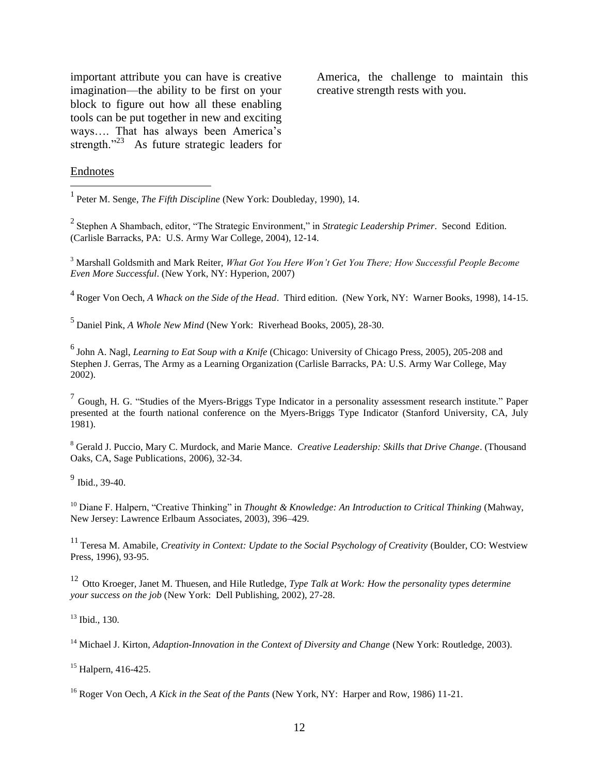important attribute you can have is creative imagination—the ability to be first on your block to figure out how all these enabling tools can be put together in new and exciting ways…. That has always been America's strength."<sup>23</sup> As future strategic leaders for

America, the challenge to maintain this creative strength rests with you.

#### Endnotes

 $\overline{a}$ 

1 Peter M. Senge, *The Fifth Discipline* (New York: Doubleday, 1990), 14.

<sup>2</sup> Stephen A Shambach, editor, "The Strategic Environment," in *Strategic Leadership Primer*. Second Edition. (Carlisle Barracks, PA: U.S. Army War College, 2004), 12-14.

<sup>3</sup> Marshall Goldsmith and Mark Reiter, *What Got You Here Won't Get You There; How Successful People Become Even More Successful*. (New York, NY: Hyperion, 2007)

4 Roger Von Oech*, A Whack on the Side of the Head*. Third edition. (New York, NY: Warner Books, 1998), 14-15.

5 Daniel Pink, *A Whole New Mind* (New York: Riverhead Books, 2005), 28-30.

6 John A. Nagl, *Learning to Eat Soup with a Knife* (Chicago: University of Chicago Press, 2005), 205-208 and Stephen J. Gerras, The Army as a Learning Organization (Carlisle Barracks, PA: U.S. Army War College, May 2002).

 $<sup>7</sup>$  Gough, H. G. "Studies of the Myers-Briggs Type Indicator in a personality assessment research institute." Paper</sup> presented at the fourth national conference on the Myers-Briggs Type Indicator (Stanford University, CA, July 1981).

<sup>8</sup> Gerald J. Puccio, Mary C. Murdock, and Marie Mance. *Creative Leadership: Skills that Drive Change*. (Thousand Oaks, CA, Sage Publications, 2006), 32-34.

<sup>9</sup> Ibid., 39-40.

<sup>10</sup> Diane F. Halpern, "Creative Thinking" in *Thought & Knowledge: An Introduction to Critical Thinking* (Mahway, New Jersey: Lawrence Erlbaum Associates, 2003), 396–429.

<sup>11</sup> Teresa M. Amabile*, Creativity in Context: Update to the Social Psychology of Creativity* (Boulder, CO: Westview Press, 1996), 93-95.

<sup>12</sup> Otto Kroeger, Janet M. Thuesen, and Hile Rutledge, *Type Talk at Work: How the personality types determine your success on the job* (New York: Dell Publishing, 2002), 27-28.

<sup>13</sup> Ibid., 130.

<sup>14</sup> Michael J. Kirton, *Adaption-Innovation in the Context of Diversity and Change* (New York: Routledge, 2003).

<sup>15</sup> Halpern, 416-425.

<sup>16</sup> Roger Von Oech, *A Kick in the Seat of the Pants* (New York, NY: Harper and Row, 1986) 11-21.